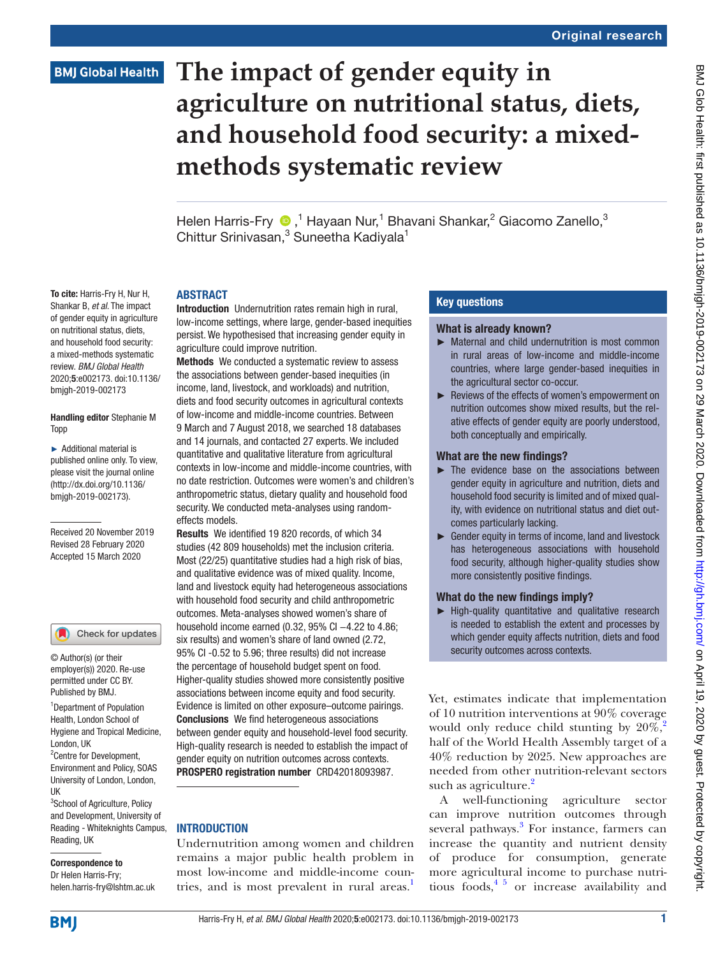To cite: Harris-Fry H, Nur H, Shankar B, *et al*. The impact of gender equity in agriculture on nutritional status, diets, and household food security: a mixed-methods systematic review. *BMJ Global Health* 2020;5:e002173. doi:10.1136/ bmjgh-2019-002173

Handling editor Stephanie M

Received 20 November 2019 Revised 28 February 2020 Accepted 15 March 2020

<sup>1</sup> Department of Population Health, London School of Hygiene and Tropical Medicine,

Check for updates

© Author(s) (or their employer(s)) 2020. Re-use permitted under CC BY. Published by BMJ.

<sup>2</sup> Centre for Development, Environment and Policy, SOAS University of London, London,

<sup>3</sup>School of Agriculture, Policy and Development, University of Reading - Whiteknights Campus,

London, UK

Reading, UK

Correspondence to Dr Helen Harris-Fry; helen.harris-fry@lshtm.ac.uk

UK

► Additional material is published online only. To view, please visit the journal online (http://dx.doi.org/10.1136/ bmjgh-2019-002173).

Topp

# **The impact of gender equity in agriculture on nutritional status, diets, and household food security: a mixedmethods systematic review**

Helen Harris-Fry  $\bigcirc$ ,<sup>1</sup> Hayaan Nur,<sup>1</sup> Bhavani Shankar,<sup>2</sup> Giacomo Zanello,<sup>3</sup> Chittur Srinivasan,<sup>3</sup> Suneetha Kadiyala<sup>1</sup>

#### **ARSTRACT**

Introduction Undernutrition rates remain high in rural, low-income settings, where large, gender-based inequities persist. We hypothesised that increasing gender equity in agriculture could improve nutrition.

Methods We conducted a systematic review to assess the associations between gender-based inequities (in income, land, livestock, and workloads) and nutrition, diets and food security outcomes in agricultural contexts of low-income and middle-income countries. Between 9 March and 7 August 2018, we searched 18 databases and 14 journals, and contacted 27 experts. We included quantitative and qualitative literature from agricultural contexts in low-income and middle-income countries, with no date restriction. Outcomes were women's and children's anthropometric status, dietary quality and household food security. We conducted meta-analyses using randomeffects models.

Results We identified 19 820 records, of which 34 studies (42 809 households) met the inclusion criteria. Most (22/25) quantitative studies had a high risk of bias, and qualitative evidence was of mixed quality. Income, land and livestock equity had heterogeneous associations with household food security and child anthropometric outcomes. Meta-analyses showed women's share of household income earned (0.32, 95% CI −4.22 to 4.86; six results) and women's share of land owned (2.72, 95% CI -0.52 to 5.96; three results) did not increase the percentage of household budget spent on food. Higher-quality studies showed more consistently positive associations between income equity and food security. Evidence is limited on other exposure–outcome pairings. Conclusions We find heterogeneous associations between gender equity and household-level food security. High-quality research is needed to establish the impact of gender equity on nutrition outcomes across contexts. PROSPERO registration number CRD42018093987.

#### **INTRODUCTION**

Undernutrition among women and children remains a major public health problem in most low-income and middle-income countries, and is most prevalent in rural areas.<sup>1</sup>

#### Key questions

#### What is already known?

- ► Maternal and child undernutrition is most common in rural areas of low-income and middle-income countries, where large gender-based inequities in the agricultural sector co-occur.
- ► Reviews of the effects of women's empowerment on nutrition outcomes show mixed results, but the relative effects of gender equity are poorly understood, both conceptually and empirically.

## What are the new findings?

- ► The evidence base on the associations between gender equity in agriculture and nutrition, diets and household food security is limited and of mixed quality, with evidence on nutritional status and diet outcomes particularly lacking.
- ► Gender equity in terms of income, land and livestock has heterogeneous associations with household food security, although higher-quality studies show more consistently positive findings.

## What do the new findings imply?

► High-quality quantitative and qualitative research is needed to establish the extent and processes by which gender equity affects nutrition, diets and food security outcomes across contexts.

Yet, estimates indicate that implementation of 10 nutrition interventions at 90% coverage would only reduce child stunting by  $20\%$  $20\%$ ,<sup>2</sup> half of the World Health Assembly target of a 40% reduction by 2025. New approaches are needed from other nutrition-relevant sectors such as agriculture.<sup>[2](#page-12-1)</sup>

A well-functioning agriculture sector can improve nutrition outcomes through several pathways.<sup>3</sup> For instance, farmers can increase the quantity and nutrient density of produce for consumption, generate more agricultural income to purchase nutritious foods,  $4\frac{5}{9}$  or increase availability and

**BMJ**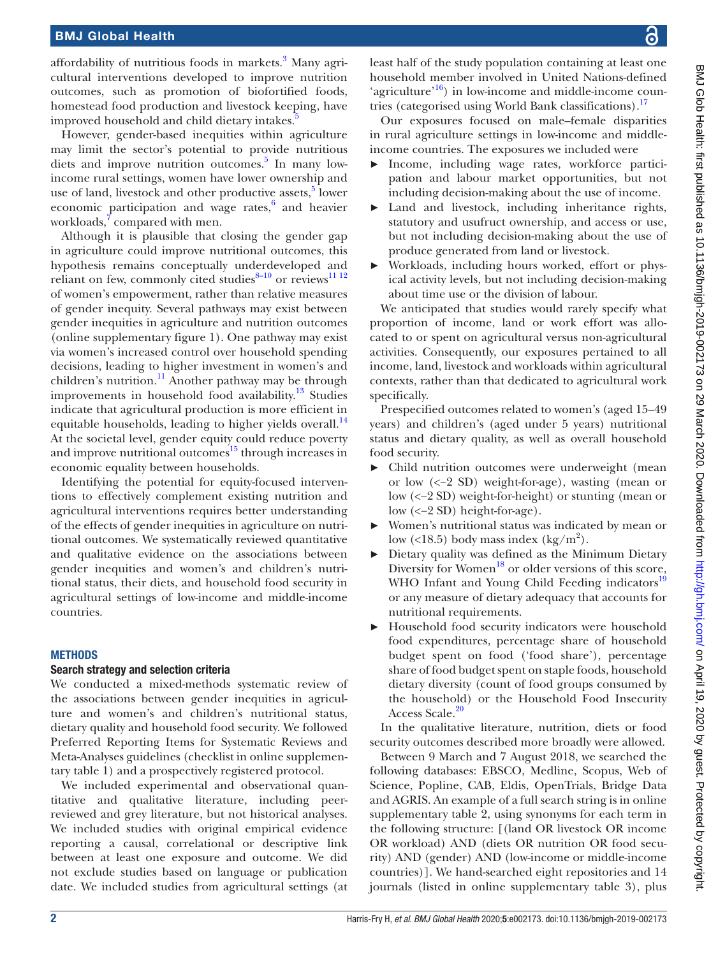affordability of nutritious foods in markets.<sup>[3](#page-12-2)</sup> Many agricultural interventions developed to improve nutrition outcomes, such as promotion of biofortified foods, homestead food production and livestock keeping, have improved household and child dietary intakes.<sup>[5](#page-12-4)</sup>

However, gender-based inequities within agriculture may limit the sector's potential to provide nutritious diets and improve nutrition outcomes.<sup>5</sup> In many lowincome rural settings, women have lower ownership and use of land, livestock and other productive assets,<sup>5</sup> lower economic participation and wage rates,<sup>[6](#page-12-5)</sup> and heavier workloads,<sup>7</sup> compared with men.

Although it is plausible that closing the gender gap in agriculture could improve nutritional outcomes, this hypothesis remains conceptually underdeveloped and reliant on few, commonly cited studies $8-10$  or reviews<sup>11 12</sup> of women's empowerment, rather than relative measures of gender inequity. Several pathways may exist between gender inequities in agriculture and nutrition outcomes [\(online supplementary figure 1\)](https://dx.doi.org/10.1136/bmjgh-2019-002173). One pathway may exist via women's increased control over household spending decisions, leading to higher investment in women's and children's nutrition.<sup>[11](#page-12-8)</sup> Another pathway may be through improvements in household food availability. $13$  Studies indicate that agricultural production is more efficient in equitable households, leading to higher yields overall.<sup>[14](#page-12-10)</sup> At the societal level, gender equity could reduce poverty and improve nutritional outcomes $^{15}$  $^{15}$  $^{15}$  through increases in economic equality between households.

Identifying the potential for equity-focused interventions to effectively complement existing nutrition and agricultural interventions requires better understanding of the effects of gender inequities in agriculture on nutritional outcomes. We systematically reviewed quantitative and qualitative evidence on the associations between gender inequities and women's and children's nutritional status, their diets, and household food security in agricultural settings of low-income and middle-income countries.

#### **METHODS**

#### Search strategy and selection criteria

We conducted a mixed-methods systematic review of the associations between gender inequities in agriculture and women's and children's nutritional status, dietary quality and household food security. We followed Preferred Reporting Items for Systematic Reviews and Meta-Analyses guidelines (checklist in [online supplemen](https://dx.doi.org/10.1136/bmjgh-2019-002173)[tary table 1](https://dx.doi.org/10.1136/bmjgh-2019-002173)) and a prospectively registered protocol.

We included experimental and observational quantitative and qualitative literature, including peerreviewed and grey literature, but not historical analyses. We included studies with original empirical evidence reporting a causal, correlational or descriptive link between at least one exposure and outcome. We did not exclude studies based on language or publication date. We included studies from agricultural settings (at

least half of the study population containing at least one household member involved in United Nations-defined 'agriculture'<sup>16</sup>) in low-income and middle-income coun-tries (categorised using World Bank classifications).<sup>[17](#page-12-13)</sup>

Our exposures focused on male–female disparities in rural agriculture settings in low-income and middleincome countries. The exposures we included were

- Income, including wage rates, workforce participation and labour market opportunities, but not including decision-making about the use of income.
- Land and livestock, including inheritance rights, statutory and usufruct ownership, and access or use, but not including decision-making about the use of produce generated from land or livestock.
- ► Workloads, including hours worked, effort or physical activity levels, but not including decision-making about time use or the division of labour.

We anticipated that studies would rarely specify what proportion of income, land or work effort was allocated to or spent on agricultural versus non-agricultural activities. Consequently, our exposures pertained to all income, land, livestock and workloads within agricultural contexts, rather than that dedicated to agricultural work specifically.

Prespecified outcomes related to women's (aged 15–49 years) and children's (aged under 5 years) nutritional status and dietary quality, as well as overall household food security.

- ► Child nutrition outcomes were underweight (mean or low (<−2 SD) weight-for-age), wasting (mean or low (<−2 SD) weight-for-height) or stunting (mean or low (<−2 SD) height-for-age).
- Women's nutritional status was indicated by mean or low (<18.5) body mass index  $(kg/m^2)$ .
- ► Dietary quality was defined as the Minimum Dietary Diversity for Women $^{18}$  or older versions of this score, WHO Infant and Young Child Feeding indicators<sup>19</sup> or any measure of dietary adequacy that accounts for nutritional requirements.
- ► Household food security indicators were household food expenditures, percentage share of household budget spent on food ('food share'), percentage share of food budget spent on staple foods, household dietary diversity (count of food groups consumed by the household) or the Household Food Insecurity Access Scale.<sup>[20](#page-12-16)</sup>

In the qualitative literature, nutrition, diets or food security outcomes described more broadly were allowed.

Between 9 March and 7 August 2018, we searched the following databases: EBSCO, Medline, Scopus, Web of Science, Popline, CAB, Eldis, OpenTrials, Bridge Data and AGRIS. An example of a full search string is in [online](https://dx.doi.org/10.1136/bmjgh-2019-002173) [supplementary table 2](https://dx.doi.org/10.1136/bmjgh-2019-002173), using synonyms for each term in the following structure: [(land OR livestock OR income OR workload) AND (diets OR nutrition OR food security) AND (gender) AND (low-income or middle-income countries)]. We hand-searched eight repositories and 14 journals (listed in [online supplementary table 3\)](https://dx.doi.org/10.1136/bmjgh-2019-002173), plus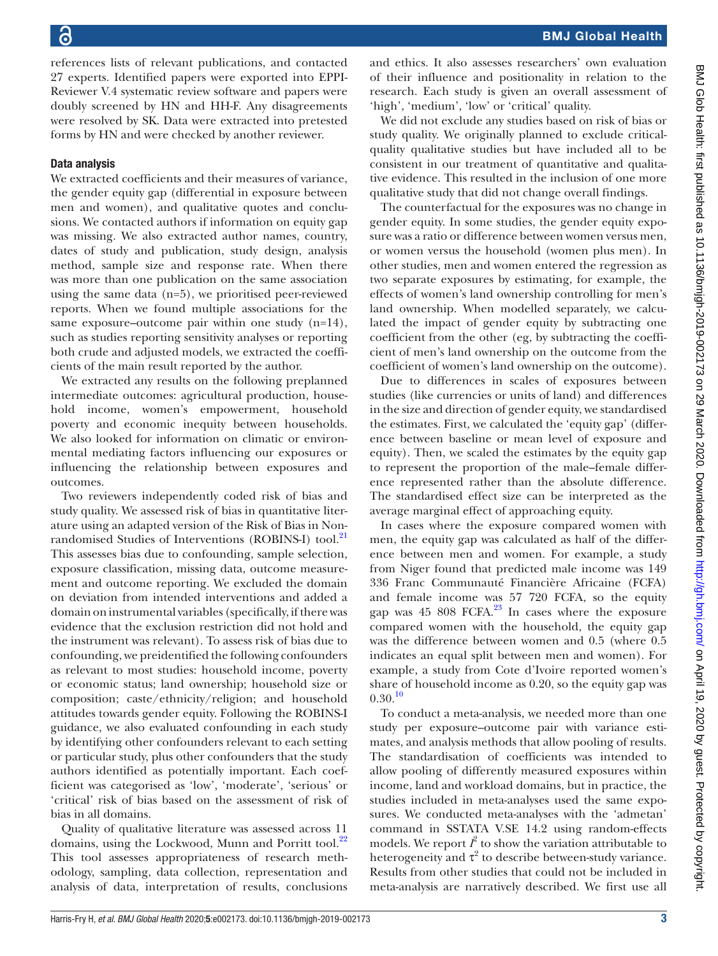references lists of relevant publications, and contacted 27 experts. Identified papers were exported into EPPI-Reviewer V.4 systematic review software and papers were doubly screened by HN and HH-F. Any disagreements were resolved by SK. Data were extracted into pretested forms by HN and were checked by another reviewer.

## Data analysis

We extracted coefficients and their measures of variance, the gender equity gap (differential in exposure between men and women), and qualitative quotes and conclusions. We contacted authors if information on equity gap was missing. We also extracted author names, country, dates of study and publication, study design, analysis method, sample size and response rate. When there was more than one publication on the same association using the same data  $(n=5)$ , we prioritised peer-reviewed reports. When we found multiple associations for the same exposure–outcome pair within one study (n=14), such as studies reporting sensitivity analyses or reporting both crude and adjusted models, we extracted the coefficients of the main result reported by the author.

We extracted any results on the following preplanned intermediate outcomes: agricultural production, household income, women's empowerment, household poverty and economic inequity between households. We also looked for information on climatic or environmental mediating factors influencing our exposures or influencing the relationship between exposures and outcomes.

Two reviewers independently coded risk of bias and study quality. We assessed risk of bias in quantitative literature using an adapted version of the Risk of Bias in Non-randomised Studies of Interventions (ROBINS-I) tool.<sup>[21](#page-12-17)</sup> This assesses bias due to confounding, sample selection, exposure classification, missing data, outcome measurement and outcome reporting. We excluded the domain on deviation from intended interventions and added a domain on instrumental variables (specifically, if there was evidence that the exclusion restriction did not hold and the instrument was relevant). To assess risk of bias due to confounding, we preidentified the following confounders as relevant to most studies: household income, poverty or economic status; land ownership; household size or composition; caste/ethnicity/religion; and household attitudes towards gender equity. Following the ROBINS-I guidance, we also evaluated confounding in each study by identifying other confounders relevant to each setting or particular study, plus other confounders that the study authors identified as potentially important. Each coefficient was categorised as 'low', 'moderate', 'serious' or 'critical' risk of bias based on the assessment of risk of bias in all domains.

Quality of qualitative literature was assessed across 11 domains, using the Lockwood, Munn and Porritt tool.<sup>[22](#page-12-18)</sup> This tool assesses appropriateness of research methodology, sampling, data collection, representation and analysis of data, interpretation of results, conclusions and ethics. It also assesses researchers' own evaluation of their influence and positionality in relation to the research. Each study is given an overall assessment of 'high', 'medium', 'low' or 'critical' quality.

We did not exclude any studies based on risk of bias or study quality. We originally planned to exclude criticalquality qualitative studies but have included all to be consistent in our treatment of quantitative and qualitative evidence. This resulted in the inclusion of one more qualitative study that did not change overall findings.

The counterfactual for the exposures was no change in gender equity. In some studies, the gender equity exposure was a ratio or difference between women versus men, or women versus the household (women plus men). In other studies, men and women entered the regression as two separate exposures by estimating, for example, the effects of women's land ownership controlling for men's land ownership. When modelled separately, we calculated the impact of gender equity by subtracting one coefficient from the other (eg, by subtracting the coefficient of men's land ownership on the outcome from the coefficient of women's land ownership on the outcome).

Due to differences in scales of exposures between studies (like currencies or units of land) and differences in the size and direction of gender equity, we standardised the estimates. First, we calculated the 'equity gap' (difference between baseline or mean level of exposure and equity). Then, we scaled the estimates by the equity gap to represent the proportion of the male–female difference represented rather than the absolute difference. The standardised effect size can be interpreted as the average marginal effect of approaching equity.

In cases where the exposure compared women with men, the equity gap was calculated as half of the difference between men and women. For example, a study from Niger found that predicted male income was 149 336 Franc Communauté Financière Africaine (FCFA) and female income was 57 720 FCFA, so the equity gap was 45 808 FCFA. $23$  In cases where the exposure compared women with the household, the equity gap was the difference between women and 0.5 (where 0.5 indicates an equal split between men and women). For example, a study from Cote d'Ivoire reported women's share of household income as 0.20, so the equity gap was  $0.30^{10}$  $0.30^{10}$  $0.30^{10}$ 

To conduct a meta-analysis, we needed more than one study per exposure–outcome pair with variance estimates, and analysis methods that allow pooling of results. The standardisation of coefficients was intended to allow pooling of differently measured exposures within income, land and workload domains, but in practice, the studies included in meta-analyses used the same exposures. We conducted meta-analyses with the 'admetan' command in SSTATA V.SE 14.2 using random-effects models. We report  $\hat{I}^2$  to show the variation attributable to heterogeneity and  $\tau^2$  to describe between-study variance. Results from other studies that could not be included in meta-analysis are narratively described. We first use all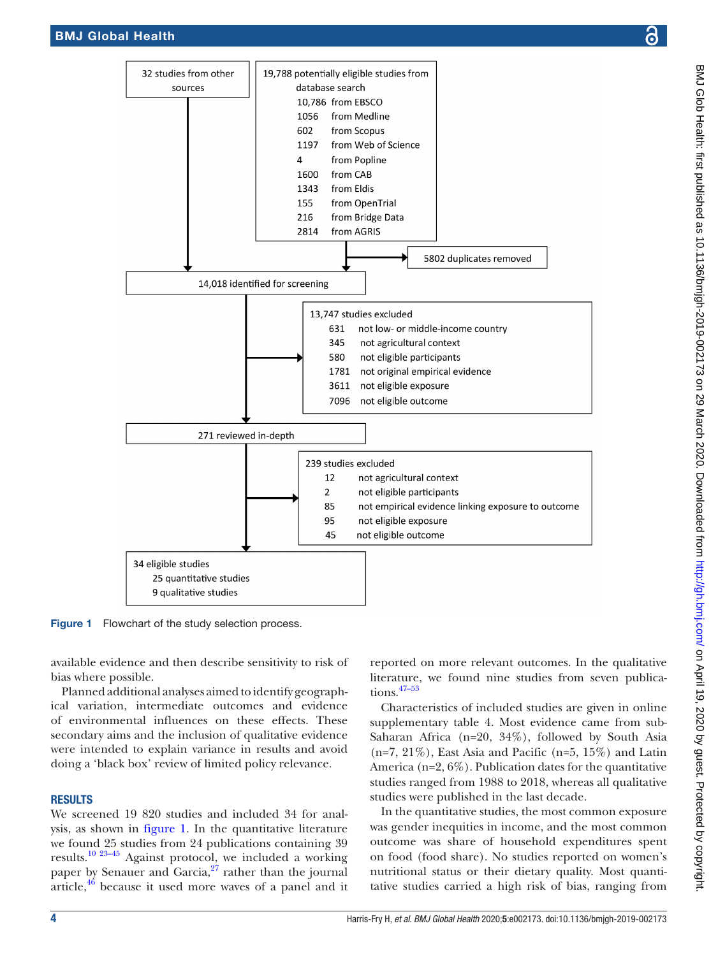

<span id="page-3-0"></span>Figure 1 Flowchart of the study selection process.

available evidence and then describe sensitivity to risk of bias where possible.

Planned additional analyses aimed to identify geographical variation, intermediate outcomes and evidence of environmental influences on these effects. These secondary aims and the inclusion of qualitative evidence were intended to explain variance in results and avoid doing a 'black box' review of limited policy relevance.

## **RESULTS**

We screened 19 820 studies and included 34 for analysis, as shown in [figure](#page-3-0) 1. In the quantitative literature we found 25 studies from 24 publications containing 39 results.[10 23–45](#page-12-20) Against protocol, we included a working paper by Senauer and Garcia, $27$  rather than the journal article, $46$  because it used more waves of a panel and it

reported on more relevant outcomes. In the qualitative literature, we found nine studies from seven publications.[47–53](#page-13-1)

Characteristics of included studies are given in [online](https://dx.doi.org/10.1136/bmjgh-2019-002173) [supplementary table 4](https://dx.doi.org/10.1136/bmjgh-2019-002173). Most evidence came from sub-Saharan Africa (n=20, 34%), followed by South Asia  $(n=7, 21\%)$ , East Asia and Pacific  $(n=5, 15\%)$  and Latin America (n=2, 6%). Publication dates for the quantitative studies ranged from 1988 to 2018, whereas all qualitative studies were published in the last decade.

In the quantitative studies, the most common exposure was gender inequities in income, and the most common outcome was share of household expenditures spent on food (food share). No studies reported on women's nutritional status or their dietary quality. Most quantitative studies carried a high risk of bias, ranging from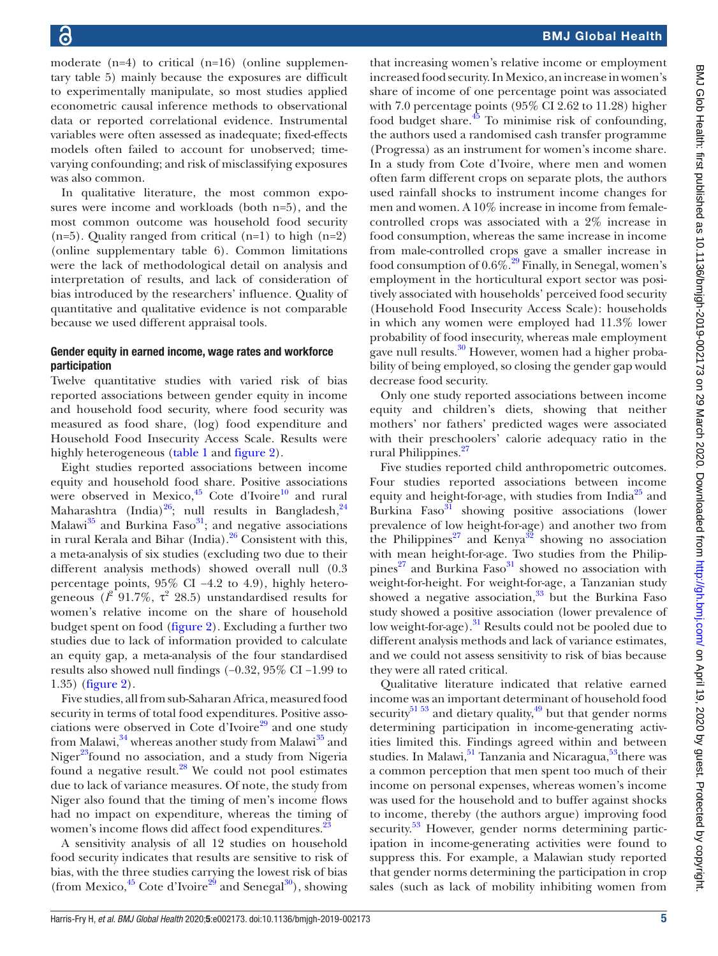moderate  $(n=4)$  to critical  $(n=16)$  ([online supplemen](https://dx.doi.org/10.1136/bmjgh-2019-002173)[tary table 5](https://dx.doi.org/10.1136/bmjgh-2019-002173)) mainly because the exposures are difficult to experimentally manipulate, so most studies applied econometric causal inference methods to observational data or reported correlational evidence. Instrumental variables were often assessed as inadequate; fixed-effects models often failed to account for unobserved; timevarying confounding; and risk of misclassifying exposures was also common.

In qualitative literature, the most common exposures were income and workloads (both n=5), and the most common outcome was household food security (n=5). Quality ranged from critical (n=1) to high (n=2) [\(online supplementary table 6\)](https://dx.doi.org/10.1136/bmjgh-2019-002173). Common limitations were the lack of methodological detail on analysis and interpretation of results, and lack of consideration of bias introduced by the researchers' influence. Quality of quantitative and qualitative evidence is not comparable because we used different appraisal tools.

#### Gender equity in earned income, wage rates and workforce participation

Twelve quantitative studies with varied risk of bias reported associations between gender equity in income and household food security, where food security was measured as food share, (log) food expenditure and Household Food Insecurity Access Scale. Results were highly heterogeneous ([table](#page-5-0) 1 and [figure](#page-7-0) 2).

Eight studies reported associations between income equity and household food share. Positive associations were observed in Mexico,<sup>[45](#page-13-2)</sup> Cote d'Ivoire<sup>10</sup> and rural Maharashtra (India) $^{26}$ ; null results in Bangladesh, $^{24}$ Malawi $^{35}$  $^{35}$  $^{35}$  and Burkina Faso $^{31}$ ; and negative associations in rural Kerala and Bihar (India). $^{26}$  Consistent with this, a meta-analysis of six studies (excluding two due to their different analysis methods) showed overall null (0.3 percentage points, 95% CI −4.2 to 4.9), highly heterogeneous  $(l^2 \ 91.7\%, \ \tau^2 \ 28.5)$  unstandardised results for women's relative income on the share of household budget spent on food [\(figure](#page-7-0) 2). Excluding a further two studies due to lack of information provided to calculate an equity gap, a meta-analysis of the four standardised results also showed null findings (−0.32, 95% CI −1.99 to 1.35) ([figure](#page-7-0) 2).

Five studies, all from sub-Saharan Africa, measured food security in terms of total food expenditures. Positive associations were observed in Cote d'Ivoire $^{29}$  $^{29}$  $^{29}$  and one study from Malawi,<sup>34</sup> whereas another study from Malawi<sup>35</sup> and Niger $^{23}$  $^{23}$  $^{23}$ found no association, and a study from Nigeria found a negative result.<sup>28</sup> We could not pool estimates due to lack of variance measures. Of note, the study from Niger also found that the timing of men's income flows had no impact on expenditure, whereas the timing of women's income flows did affect food expenditures.<sup>2</sup>

A sensitivity analysis of all 12 studies on household food security indicates that results are sensitive to risk of bias, with the three studies carrying the lowest risk of bias (from Mexico, $45$  Cote d'Ivoire<sup>29</sup> and Senegal<sup>30</sup>), showing

that increasing women's relative income or employment increased food security. In Mexico, an increase in women's share of income of one percentage point was associated with 7.0 percentage points (95% CI 2.62 to 11.28) higher food budget share.[45](#page-13-2) To minimise risk of confounding, the authors used a randomised cash transfer programme (Progressa) as an instrument for women's income share. In a study from Cote d'Ivoire, where men and women often farm different crops on separate plots, the authors used rainfall shocks to instrument income changes for men and women. A 10% increase in income from femalecontrolled crops was associated with a 2% increase in food consumption, whereas the same increase in income from male-controlled crops gave a smaller increase in food consumption of  $0.6\%$ <sup>[29](#page-12-26)</sup> Finally, in Senegal, women's employment in the horticultural export sector was positively associated with households' perceived food security (Household Food Insecurity Access Scale): households in which any women were employed had 11.3% lower probability of food insecurity, whereas male employment gave null results.<sup>[30](#page-12-29)</sup> However, women had a higher probability of being employed, so closing the gender gap would decrease food security.

Only one study reported associations between income equity and children's diets, showing that neither mothers' nor fathers' predicted wages were associated with their preschoolers' calorie adequacy ratio in the rural Philippines.<sup>[27](#page-12-21)</sup>

Five studies reported child anthropometric outcomes. Four studies reported associations between income equity and height-for-age, with studies from India<sup>25</sup> and Burkina Faso<sup>31</sup> showing positive associations (lower prevalence of low height-for-age) and another two from the Philippines<sup>[27](#page-12-21)</sup> and Kenya<sup>32</sup> showing no association with mean height-for-age. Two studies from the Philippines $^{27}$  and Burkina Faso $^{31}$  showed no association with weight-for-height. For weight-for-age, a Tanzanian study showed a negative association, $33$  but the Burkina Faso study showed a positive association (lower prevalence of low weight-for-age).<sup>31</sup> Results could not be pooled due to different analysis methods and lack of variance estimates, and we could not assess sensitivity to risk of bias because they were all rated critical.

Qualitative literature indicated that relative earned income was an important determinant of household food security<sup>51 53</sup> and dietary quality,<sup>49</sup> but that gender norms determining participation in income-generating activities limited this. Findings agreed within and between studies. In Malawi,  $51$  Tanzania and Nicaragua,  $53$  there was a common perception that men spent too much of their income on personal expenses, whereas women's income was used for the household and to buffer against shocks to income, thereby (the authors argue) improving food security.<sup>53</sup> However, gender norms determining participation in income-generating activities were found to suppress this. For example, a Malawian study reported that gender norms determining the participation in crop sales (such as lack of mobility inhibiting women from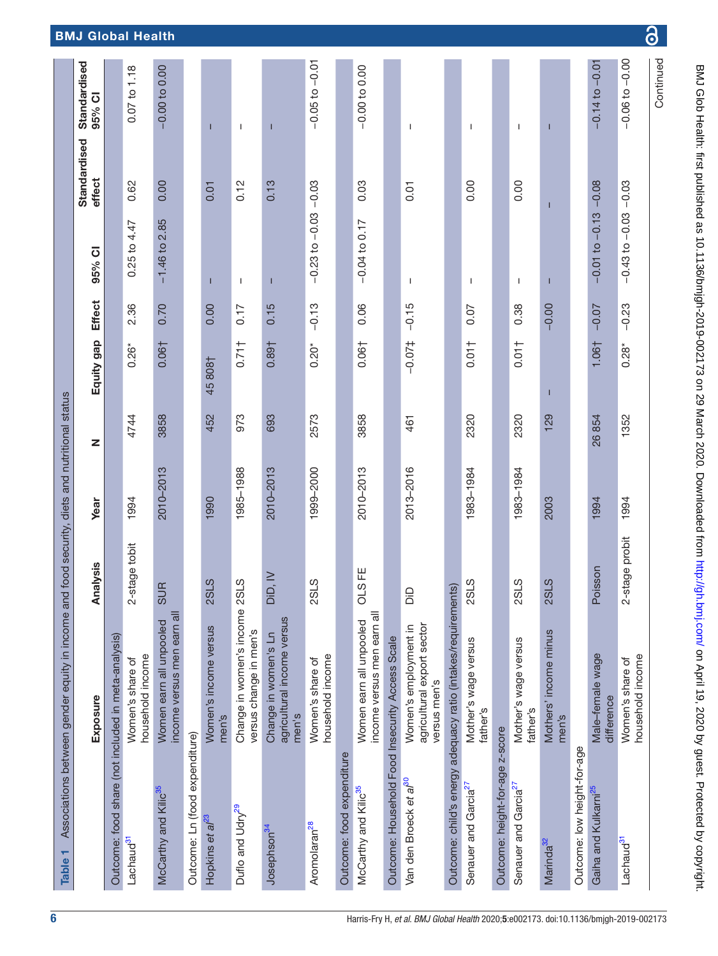<span id="page-5-0"></span>

| τ<br><b>Table</b>                                   | Associations between gender equity in income and food security, diets and nutritional status |                                |           |       |               |               |                    |                        |                        |
|-----------------------------------------------------|----------------------------------------------------------------------------------------------|--------------------------------|-----------|-------|---------------|---------------|--------------------|------------------------|------------------------|
|                                                     | Exposure                                                                                     | nalysis<br>₹                   | Year      | z     | Equity gap    | <b>Effect</b> | 95% CI             | Standardised<br>effect | Standardised<br>95% CI |
| Outcome: food share (not included in meta-analysis) |                                                                                              |                                |           |       |               |               |                    |                        |                        |
| Lachaud <sup>31</sup>                               | household income<br>Women's share of                                                         | 2-stage tobit                  | 1994      | 4744  | $0.26*$       | 2.36          | $0.25$ to $4.47$   | 0.62                   | 0.07 to 1.18           |
| McCarthy and Kilic <sup>35</sup>                    | income versus men earn all<br>Women earn all unpooled                                        | $\mathbb{E}$<br>$\vec{\omega}$ | 2010-2013 | 3858  | $0.06\dagger$ | 0.70          | $-1.46$ to 2.85    | 0.00                   | $-0.00$ to 0.00        |
| Outcome: Ln (food expenditure)                      |                                                                                              |                                |           |       |               |               |                    |                        |                        |
| Hopkins et al <sup>23</sup>                         | Women's income versus<br>men's                                                               | <b>2SLS</b>                    | 1990      | 452   | 45808         | 0.00          | ι                  | 0.01                   |                        |
| Duflo and Udry <sup>29</sup>                        | Change in women's income 2SLS<br>versus change in men's                                      |                                | 1985-1988 | 973   | 0.711         | 0.17          | H                  | 0.12                   | J.                     |
| Josephson <sup>34</sup>                             | agricultural income versus<br>Change in women's Ln<br>men's                                  | D, W<br>ä                      | 2010-2013 | 693   | 0.89†         | 0.15          | Т                  | 0.13                   | Т                      |
| Aromolaran <sup>28</sup>                            | household income<br>Women's share of                                                         | <b>2SLS</b>                    | 1999-2000 | 2573  | $0.20*$       | $-0.13$       | $-0.23$ to $-0.03$ | $-0.03$                | $-0.05$ to $-0.01$     |
| Outcome: food expenditure                           |                                                                                              |                                |           |       |               |               |                    |                        |                        |
| McCarthy and Kilic <sup>35</sup>                    | income versus men earn all<br>Women earn all unpooled                                        | SFE<br>$\vec{o}$               | 2010-2013 | 3858  | 0.06†         | 0.06          | $-0.04$ to 0.17    | 0.03                   | $-0.00$ to 0.00        |
| Outcome: Household Food Insecurity Access Scale     |                                                                                              |                                |           |       |               |               |                    |                        |                        |
| Van den Broeck et al <sup>30</sup>                  | agricultural export sector<br>Women's employment in<br>versus men's                          | GiO                            | 2013-2016 | 461   | $-0.07$       | $-0.15$       | T                  | 0.01                   | I.                     |
|                                                     | Outcome: child's energy adequacy ratio (intakes/requirements)                                |                                |           |       |               |               |                    |                        |                        |
| Senauer and Garcia <sup>27</sup>                    | Mother's wage versus<br>father's                                                             | <b>2SLS</b>                    | 1983-1984 | 2320  | 0.01          | 0.07          | J.                 | 0.00                   | $\mathbf{I}$           |
| Outcome: height-for-age z-score                     |                                                                                              |                                |           |       |               |               |                    |                        |                        |
| Senauer and Garcia <sup>27</sup>                    | Mother's wage versus<br>father's                                                             | <b>2SLS</b>                    | 1983-1984 | 2320  | 0.01          | 0.38          | I.                 | 0.00                   | T                      |
| Marinda <sup>32</sup>                               | Mothers' income minus<br>men's                                                               | <b>2SLS</b>                    | 2003      | 129   | Ш             | $-0.00$       | Ш                  | п                      | п                      |
| Outcome: low height-for-age                         |                                                                                              |                                |           |       |               |               |                    |                        |                        |
| Gaiha and Kulkarni <sup>25</sup>                    | Male-female wage<br>difference                                                               | Poisson                        | 1994      | 26854 | 1.06†         | $-0.07$       | $-0.01$ to $-0.13$ | $-0.08$                | $-0.01$<br>$-0.14$ to  |
| Lachaud <sup>31</sup>                               | household income<br>Women's share of                                                         | 2-stage probit                 | 1994      | 1352  | $0.28*$       | $-0.23$       | $-0.43$ to $-0.03$ | $-0.03$                | $-0.06$ to $-0.00$     |
|                                                     |                                                                                              |                                |           |       |               |               |                    |                        | Continued              |

BMJ Glob Health: first published as 10.1136/bmigh-2019-002173 on 29 March 2020. Downloaded from http://gh.bmj.com/ on April 19, 2020 by guest. Protected by copyright. BMJ Glob Health: first published as 10.1136/bmjgh-2019-002173 on 29 March 2020. Downloaded from <http://gh.bmj.com/> BMJ Glob Health: First published by copyright.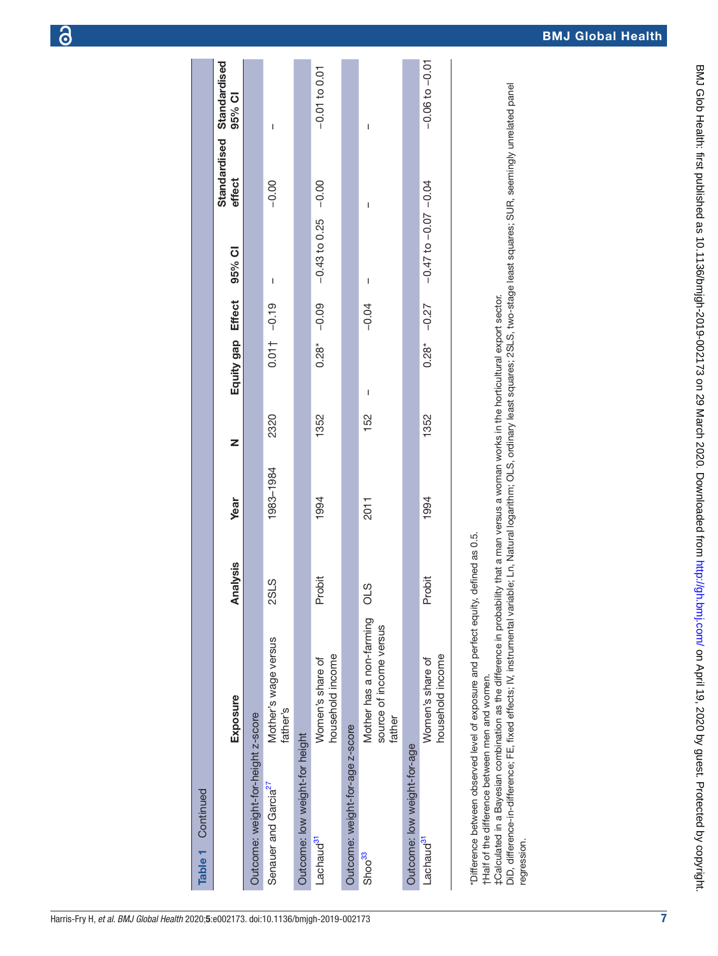|  | Harris-Fry H, <i>et al. BMJ Global Health</i> 2020;5:e002173. doi:10.1136/bmjgh-2019-002173 |
|--|---------------------------------------------------------------------------------------------|

| Table 1 Continued                  |                                                                                    |             |           |      |                          |                  |                            |                                        |                    |
|------------------------------------|------------------------------------------------------------------------------------|-------------|-----------|------|--------------------------|------------------|----------------------------|----------------------------------------|--------------------|
|                                    | Exposure                                                                           | Analysis    | Year      | Z    | Equity gap Effect        |                  | 95% CI                     | Standardised<br>Standardised<br>effect | 95% CI             |
| Outcome: weight-for-height z-score |                                                                                    |             |           |      |                          |                  |                            |                                        |                    |
| Senauer and Garcia <sup>27</sup>   | Mother's wage versus<br>father's                                                   | <b>2SLS</b> | 1983-1984 | 2320 |                          | $0.01$ + $-0.19$ | I                          | $-0.00$                                | I                  |
| Outcome: low weight-for height     |                                                                                    |             |           |      |                          |                  |                            |                                        |                    |
| Lachaud <sup>31</sup>              | household income<br>Women's share of                                               | Probit      | 1994      | 1352 | $0.28$ <sup>*</sup>      | $-0.09$          | $-0.43$ to 0.25 $-0.00$    |                                        | $-0.01$ to 0.01    |
| Outcome: weight-for-age z-score    |                                                                                    |             |           |      |                          |                  |                            |                                        |                    |
| Shoo <sup>33</sup>                 | Mother has a non-farming<br>source of income versus<br>father                      | OLS         | 2011      | 152  | $\overline{\phantom{a}}$ | $-0.04$          | I                          | I                                      | I                  |
| Outcome: low weight-for-age        |                                                                                    |             |           |      |                          |                  |                            |                                        |                    |
| Lachaud <sup>31</sup>              | household income<br>Women's share of                                               | Probit      | 1994      | 1352 | $0.28*$                  | $-0.27$          | $-0.47$ to $-0.07$ $-0.04$ |                                        | $-0.06$ to $-0.01$ |
|                                    | "Difference between observed level of exposure and perfect equity, defined as 0.5. |             |           |      |                          |                  |                            |                                        |                    |

†Half of the difference between men and women.

†Half of the difference between men and women.<br>‡Calculated in a Bayesian combination as the difference in probability that a man versus a woman works in the horticultural export sector. ‡Calculated in a Bayesian combination as the difference in probability that a man versus a woman works in the horticultural export sector.

. The model in-difference; FE, fixed effects; IV, instrumental variable; Ln, Natural logarithm; OLS, ordinary least squares; 2SLS, two-stage least squares; SUR, seemingly unrelated panel DiD, difference-in-difference; FE, fixed effects; IV, instrumental variable; Ln, Natural logarithm; OLS, ordinary least squares; 2SLS, two-stage least squares; SUR, seemingly unrelated panel regression. regression.

7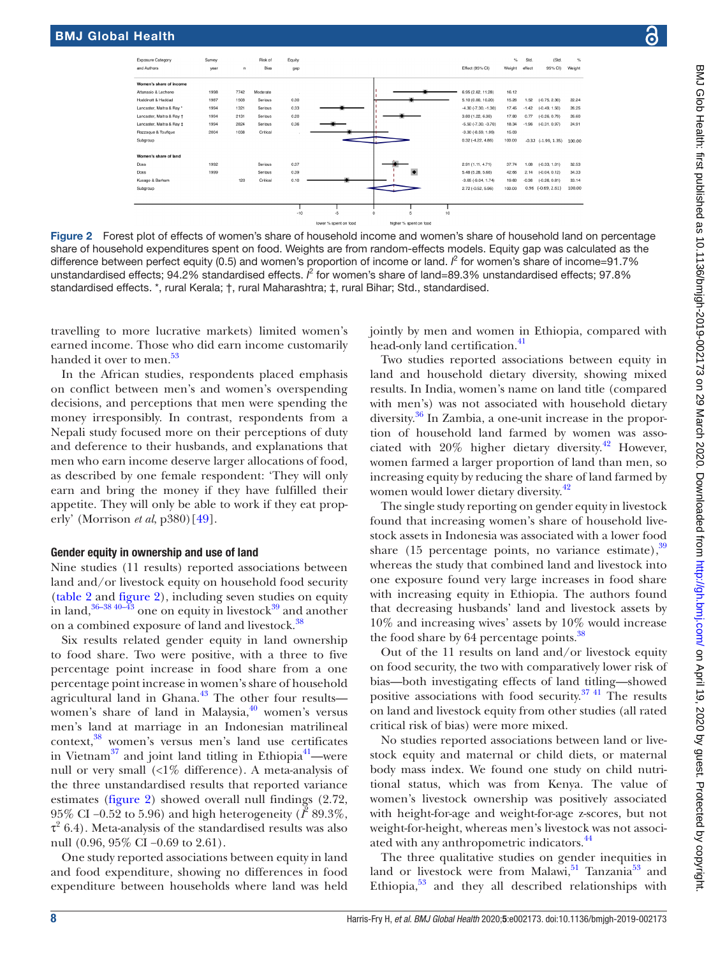

<span id="page-7-0"></span>Figure 2 Forest plot of effects of women's share of household income and women's share of household land on percentage share of household expenditures spent on food. Weights are from random-effects models. Equity gap was calculated as the difference between perfect equity (0.5) and women's proportion of income or land. *I*<sup>2</sup> for women's share of income=91.7% unstandardised effects; 94.2% standardised effects.  $l^2$  for women's share of land=89.3% unstandardised effects; 97.8% standardised effects. \*, rural Kerala; †, rural Maharashtra; ‡, rural Bihar; Std., standardised.

travelling to more lucrative markets) limited women's earned income. Those who did earn income customarily handed it over to men.<sup>[53](#page-13-5)</sup>

In the African studies, respondents placed emphasis on conflict between men's and women's overspending decisions, and perceptions that men were spending the money irresponsibly. In contrast, respondents from a Nepali study focused more on their perceptions of duty and deference to their husbands, and explanations that men who earn income deserve larger allocations of food, as described by one female respondent: 'They will only earn and bring the money if they have fulfilled their appetite. They will only be able to work if they eat properly' (Morrison *et al*, p380)[[49](#page-13-4)].

#### Gender equity in ownership and use of land

Nine studies (11 results) reported associations between land and/or livestock equity on household food security ([table](#page-8-0) 2 and [figure](#page-7-0) 2), including seven studies on equity in land,  $36-38\frac{40-43}{3}$  one on equity in livestock  $39\frac{1}{3}$  and another on a combined exposure of land and livestock.<sup>38</sup>

Six results related gender equity in land ownership to food share. Two were positive, with a three to five percentage point increase in food share from a one percentage point increase in women's share of household agricultural land in Ghana. $43$  The other four results women's share of land in Malaysia,<sup>40</sup> women's versus men's land at marriage in an Indonesian matrilineal context,[38](#page-12-35) women's versus men's land use certificates in Vietnam $^{37}$  and joint land titling in Ethiopia<sup>41</sup>—were null or very small (<1% difference). A meta-analysis of the three unstandardised results that reported variance estimates [\(figure](#page-7-0) 2) showed overall null findings (2.72, 95% CI –0.52 to 5.96) and high heterogeneity ( $\bar{I}^2$  89.3%,  $\tau^2$  6.4). Meta-analysis of the standardised results was also null (0.96, 95% CI –0.69 to 2.61).

One study reported associations between equity in land and food expenditure, showing no differences in food expenditure between households where land was held

jointly by men and women in Ethiopia, compared with head-only land certification.<sup>41</sup>

Two studies reported associations between equity in land and household dietary diversity, showing mixed results. In India, women's name on land title (compared with men's) was not associated with household dietary diversity.[36](#page-12-33) In Zambia, a one-unit increase in the proportion of household land farmed by women was associated with 20% higher dietary diversity.[42](#page-13-8) However, women farmed a larger proportion of land than men, so increasing equity by reducing the share of land farmed by women would lower dietary diversity.<sup>[42](#page-13-8)</sup>

The single study reporting on gender equity in livestock found that increasing women's share of household livestock assets in Indonesia was associated with a lower food share  $(15$  percentage points, no variance estimate),  $39$ whereas the study that combined land and livestock into one exposure found very large increases in food share with increasing equity in Ethiopia. The authors found that decreasing husbands' land and livestock assets by 10% and increasing wives' assets by 10% would increase the food share by 64 percentage points.<sup>[38](#page-12-35)</sup>

Out of the 11 results on land and/or livestock equity on food security, the two with comparatively lower risk of bias—both investigating effects of land titling—showed positive associations with food security.<sup>37 41</sup> The results on land and livestock equity from other studies (all rated critical risk of bias) were more mixed.

No studies reported associations between land or livestock equity and maternal or child diets, or maternal body mass index. We found one study on child nutritional status, which was from Kenya. The value of women's livestock ownership was positively associated with height-for-age and weight-for-age z-scores, but not weight-for-height, whereas men's livestock was not associ-ated with any anthropometric indicators.<sup>[44](#page-13-9)</sup>

The three qualitative studies on gender inequities in land or livestock were from Malawi, $51$  Tanzania $53$  and Ethiopia,<sup>53</sup> and they all described relationships with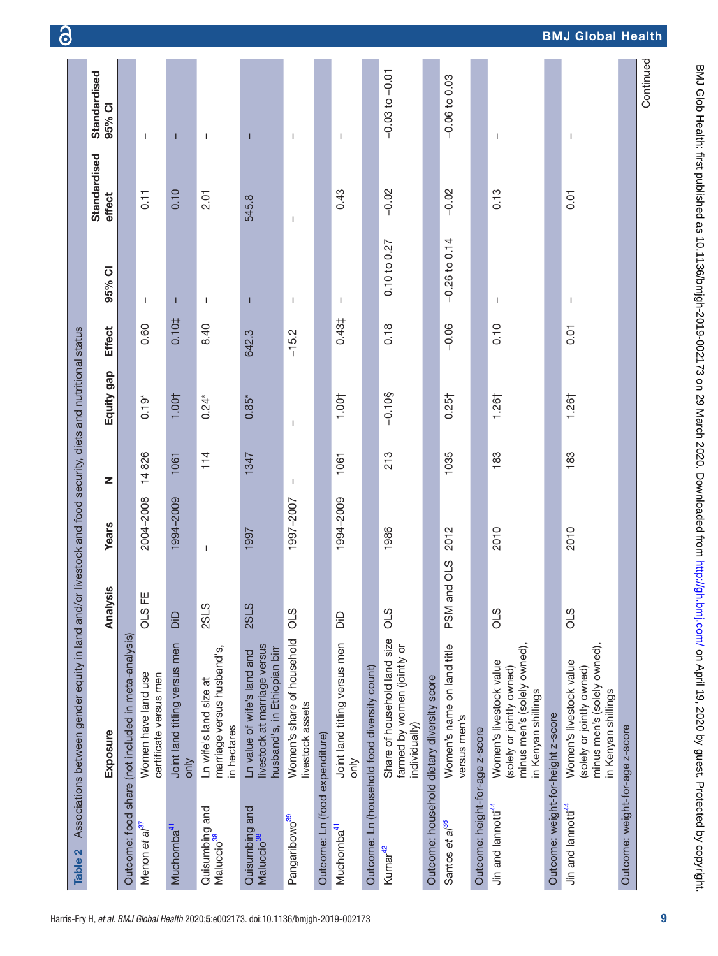<span id="page-8-0"></span>

| Table 2                                  | Associations between gender equity in land and/or livestock and food security, diets and nutritional status |                   |           |       |                   |                   |                  |                        |                        |
|------------------------------------------|-------------------------------------------------------------------------------------------------------------|-------------------|-----------|-------|-------------------|-------------------|------------------|------------------------|------------------------|
|                                          | Exposure                                                                                                    | Analysis          | Years     | Z     | Equity gap        | <b>Effect</b>     | 95% CI           | Standardised<br>effect | Standardised<br>95% CI |
|                                          | Outcome: food share (not included in meta-analysis)                                                         |                   |           |       |                   |                   |                  |                        |                        |
| Menon et al <sup>37</sup>                | Women have land use<br>certificate versus men                                                               | OLS <sub>FE</sub> | 2004-2008 | 14826 | $0.19*$           | 0.60              | J.               | 0.11                   | $\mathbf{I}$           |
| Muchomba <sup>41</sup>                   | Joint land titling versus men<br>only                                                                       | Oio               | 1994-2009 | 1061  | 1.001             | 0.10‡             | T                | 0.10                   | п                      |
| Quisumbing and<br>Maluccio <sup>38</sup> | marriage versus husband's,<br>Ln wife's land size at<br>in hectares                                         | <b>2SLS</b>       | I         | 114   | $0.24*$           | 8.40              | T                | 2.01                   | $\overline{1}$         |
| Quisumbing and<br>Maluccio <sup>38</sup> | livestock at marriage versus<br>husband's, in Ethiopian birr<br>Ln value of wife's land and                 | <b>2SLS</b>       | 1997      | 1347  | $0.85*$           | 642.3             | T                | 545.8                  | Т                      |
| Pangaribowo <sup>39</sup>                | Women's share of household<br>livestock assets                                                              | OLS               | 1997-2007 | T     | J.                | $-15.2$           | T                | I                      | $\mathbf{I}$           |
| Outcome: Ln (food expenditure)           |                                                                                                             |                   |           |       |                   |                   |                  |                        |                        |
| Muchomba <sup>41</sup>                   | Joint land titling versus men<br>only                                                                       | Gia               | 1994-2009 | 1061  | 1.001             | 0.43 <sup>‡</sup> | -1               | 0.43                   | $\mathbf{I}$           |
|                                          | Outcome: Ln (household food diversity count)                                                                |                   |           |       |                   |                   |                  |                        |                        |
| Kumar <sup>42</sup>                      | Share of household land size<br>farmed by women (jointly or<br>individually)                                | 0LS               | 1986      | 213   | $-0.10$ §         | 0.18              | $0.10$ to $0.27$ | $-0.02$                | $-0.03$ to $-0.01$     |
|                                          | Outcome: household dietary diversity score                                                                  |                   |           |       |                   |                   |                  |                        |                        |
| Santos et al <sup>36</sup>               | Women's name on land title<br>versus men's                                                                  | PSM and OLS       | 2012      | 1035  | 0.25 <sub>†</sub> | $-0.06$           | $-0.26$ to 0.14  | $-0.02$                | $-0.06$ to $0.03$      |
| Outcome: height-for-age z-score          |                                                                                                             |                   |           |       |                   |                   |                  |                        |                        |
| Jin and lannotti <sup>44</sup>           | minus men's (solely owned),<br>Women's livestock value<br>(solely or jointly owned)<br>in Kenyan shillings  | OLS               | 2010      | 183   | $1.26+$           | 0.10              | I                | 0.13                   | $\overline{1}$         |
| Outcome: weight-for-height z-score       |                                                                                                             |                   |           |       |                   |                   |                  |                        |                        |
| Jin and lannotti <sup>44</sup>           | minus men's (solely owned),<br>Women's livestock value<br>(solely or jointly owned)<br>in Kenyan shillings  | 0LS               | 2010      | 183   | 1.261             | 0.01              | I                | 0.01                   | Ť                      |
| Outcome: weight-for-age z-score          |                                                                                                             |                   |           |       |                   |                   |                  |                        |                        |
|                                          |                                                                                                             |                   |           |       |                   |                   |                  |                        | Continued              |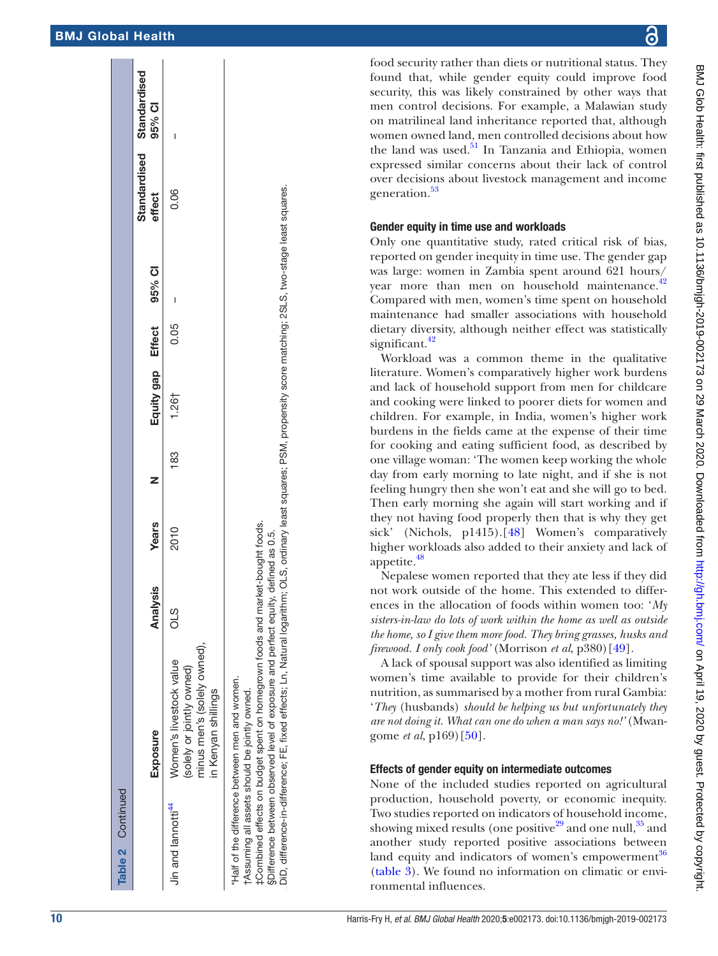| Table 2 Continued              |                                                                                                                                                                                                                                                                                                                                                                                                                                |                 |              |     |                   |      |        |        |                                        |
|--------------------------------|--------------------------------------------------------------------------------------------------------------------------------------------------------------------------------------------------------------------------------------------------------------------------------------------------------------------------------------------------------------------------------------------------------------------------------|-----------------|--------------|-----|-------------------|------|--------|--------|----------------------------------------|
|                                | Exposure                                                                                                                                                                                                                                                                                                                                                                                                                       | S<br>Analysi    | <b>Years</b> |     | Equity gap Effect |      | 95% CI | effect | Standardised<br>Standardised<br>95% CI |
| Jin and lannotti <sup>44</sup> | minus men's (solely owned),<br>Women's livestock value<br>(solely or jointly owned)<br>in Kenyan shillings                                                                                                                                                                                                                                                                                                                     | STO             | 2010         | 183 | 1.261             | 0.05 |        | 0.06   |                                        |
|                                | DiD, difference-in-difference; FE, fixed effects; Ln, Natural logarithm; OLS, ordinary least squares; PSM, propensity score matching; 2SLS, two-stage least squares.<br>‡Combined effects on budget spent on homegrown foods and market-bought foods.<br>§Difference between observed level of exposure and perfect equity,<br>"Half of the difference between men and women.<br>tAssuming all assets should be jointly owned. | defined as 0.5. |              |     |                   |      |        |        |                                        |

BMJ Glob Health: first published as 10.1136/bmjgh-2019-002173 on 29 March 2020. Downloaded from http://gh.bmj.com/ on April 19, 2020 by guest. Protected by copyright BMJ Glob Health: first published as 10.1136/bmjgh-2019-002173 on 29 March 2020. Downloaded from <http://gh.bmj.com/> BMJ Glob Health: First published by copyright.

food security rather than diets or nutritional status. They found that, while gender equity could improve food security, this was likely constrained by other ways that men control decisions. For example, a Malawian study on matrilineal land inheritance reported that, although women owned land, men controlled decisions about how the land was used. $51$  In Tanzania and Ethiopia, women expressed similar concerns about their lack of control over decisions about livestock management and income generation.<sup>53</sup>

## Gender equity in time use and workloads

Only one quantitative study, rated critical risk of bias, reported on gender inequity in time use. The gender gap was large: women in Zambia spent around 621 hours/ year more than men on household maintenance.<sup>[42](#page-13-8)</sup> Compared with men, women's time spent on household maintenance had smaller associations with household dietary diversity, although neither effect was statistically significant.<sup>[42](#page-13-8)</sup>

Workload was a common theme in the qualitative literature. Women's comparatively higher work burdens and lack of household support from men for childcare and cooking were linked to poorer diets for women and children. For example, in India, women's higher work burdens in the fields came at the expense of their time for cooking and eating sufficient food, as described by one village woman: 'The women keep working the whole day from early morning to late night, and if she is not feeling hungry then she won't eat and she will go to bed. Then early morning she again will start working and if they not having food properly then that is why they get sick' (Nichols, p1415).[\[48\]](#page-13-10) Women's comparatively higher workloads also added to their anxiety and lack of appetite.<sup>48</sup>

Nepalese women reported that they ate less if they did not work outside of the home. This extended to differences in the allocation of foods within women too: '*My sisters-in-law do lots of work within the home as well as outside the home, so I give them more food. They bring grasses, husks and firewood. I only cook food'* (Morrison *et al*, p380)[[49](#page-13-4)].

A lack of spousal support was also identified as limiting women's time available to provide for their children's nutrition, as summarised by a mother from rural Gambia: '*They* (husbands) *should be helping us but unfortunately they are not doing it. What can one do when a man says no!'* (Mwan gome *et al*, p169)[[50](#page-13-11)].

## Effects of gender equity on intermediate outcomes

None of the included studies reported on agricultural production, household poverty, or economic inequity. Two studies reported on indicators of household income, showing mixed results (one positive<sup>29</sup> and one null,  $35$  and another study reported positive associations between land equity and indicators of women's empowerment<sup>[36](#page-12-33)</sup> [\(table](#page-10-0) 3). We found no information on climatic or environmental influences.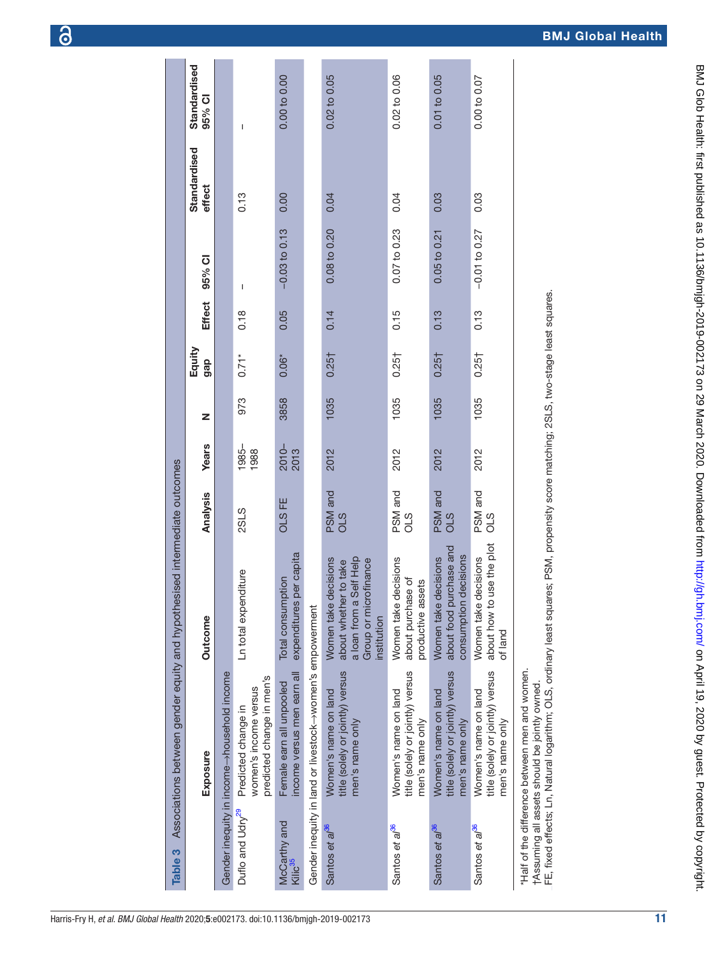<span id="page-10-0"></span>

| <b>Years</b><br>Analysis                                                                    |                                             | 1985-<br>1988<br><b>2SLS</b>                                              | ကိ<br>$2010-$<br>2013<br>OLS <sub>FE</sub>             |                                                           | 든<br>2012<br>PSM and<br>OLS                                                                                      | 든<br>2012<br>PSM and<br>OLS                                                 | 든<br>2012<br>PSM and<br>OLS                                                 | 든<br>2012<br>PSM and<br>0LS                                                 |                                                                                                                                                                                                               |
|---------------------------------------------------------------------------------------------|---------------------------------------------|---------------------------------------------------------------------------|--------------------------------------------------------|-----------------------------------------------------------|------------------------------------------------------------------------------------------------------------------|-----------------------------------------------------------------------------|-----------------------------------------------------------------------------|-----------------------------------------------------------------------------|---------------------------------------------------------------------------------------------------------------------------------------------------------------------------------------------------------------|
| Associations between gender equity and hypothesised intermediate outcomes<br><b>Outcome</b> |                                             | Ln total expenditure                                                      | expenditures per capita<br>Total consumption           |                                                           | a loan from a Self Help<br>Women take decisions<br>Group or microfinance<br>about whether to take<br>institution | Women take decisions<br>about purchase of<br>productive assets              | about food purchase and<br>consumption decisions<br>Women take decisions    | about how to use the plot<br>Women take decisions<br>of land                |                                                                                                                                                                                                               |
| Exposure                                                                                    | Gender inequity in income->household income | predicted change in men's<br>women's income versus<br>Predicted change in | income versus men earn all<br>Female earn all unpooled | Gender inequity in land or livestock->women's empowerment | title (solely or jointly) versus<br>Women's name on land<br>men's name only                                      | title (solely or jointly) versus<br>Women's name on land<br>men's name only | title (solely or jointly) versus<br>Women's name on land<br>men's name only | title (solely or jointly) versus<br>Women's name on land<br>men's name only | FE, fixed effects; Ln, Natural logarithm; OLS, ordinary least squares; PSM, propensity score matching; 2SL<br>"Half of the difference between men and women.<br>tAssuming all assets should be jointly owned. |
| S<br>Table:                                                                                 |                                             | Duflo and Udry <sup>29</sup>                                              | McCarthy and<br>Kilic <sup>35</sup>                    |                                                           | Santos et al <sup>36</sup>                                                                                       | Santos et al <sup>36</sup>                                                  | Santos et al <sup>36</sup>                                                  | Santos et al <sup>36</sup>                                                  |                                                                                                                                                                                                               |

FE, fixed effects; Ln, Natural logarithm; OLS, ordinary least squares; PSM, propensity score matching; 2SLS, two-stage least squares. FE, fixed effects; Ln, Natural logarithm; OLS, ordinary least squares; PSM, propensity score matching; 2SLS, two-stage least squares.

Equity<br>gap

 $\overline{z}$ 

2012 1035 0.25† 0.15 0.07 to 0.23 0.04 0.02 to 0.06

 $0.15$ 

 $0.25\dagger$ 

1035

0.07 to 0.23

0.04

0.02 to 0.06

2012 1035 0.25† 0.13 0.05 to 0.21 0.03 0.01 to 0.05

 $0.13$ 

 $0.25\dagger$ 

1035

 $0.05 to 0.21$ 

0.03

0.01 to 0.05

2012 1035 0.25† 0.13 −0.01 to 0.27 0.03 0.00 to 0.07

 $0.13$ 

 $0.25<sup>†</sup>$ 

1035

 $-0.01$  to  $0.27$ 

0.03

0.00 to 0.07

2012 1035 0.25† 0.14 0.08 to 0.20 0.04 0.02 to 0.05

 $0.14$ 

 $0.25<sup>†</sup>$ 

1035

0.08 to 0.20

0.04

0.02 to 0.05

973 0.71\* 0.18 – 0.13 –

 $\overline{1}$ 

 $0.18$ 

 $0.71*$ 

973

 $0.13$ 

 $\overline{1}$ 

3858 0.06\* 0.05 −0.03 to 0.13 0.00 0.00 to 0.00

 $-0.03$  to 0.13

0.05

 $0.06*$ 

3858

 $0.00$ 

0.00 to 0.00

gap Effect 95% CI

**Effect** 

95% CI

**Standardised** effect

**Standardised** 

Standardised 95% CI

**Standardised** 

BMJ Global Health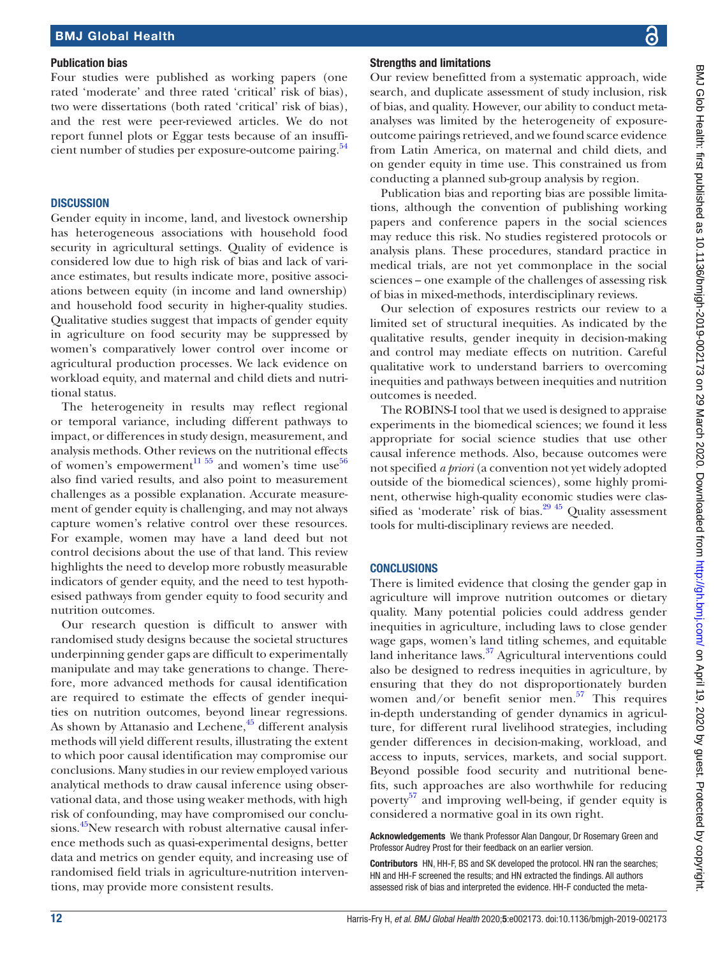#### Publication bias

Four studies were published as working papers (one rated 'moderate' and three rated 'critical' risk of bias), two were dissertations (both rated 'critical' risk of bias), and the rest were peer-reviewed articles. We do not report funnel plots or Eggar tests because of an insuffi-cient number of studies per exposure-outcome pairing.<sup>[54](#page-13-12)</sup>

#### **DISCUSSION**

Gender equity in income, land, and livestock ownership has heterogeneous associations with household food security in agricultural settings. Quality of evidence is considered low due to high risk of bias and lack of variance estimates, but results indicate more, positive associations between equity (in income and land ownership) and household food security in higher-quality studies. Qualitative studies suggest that impacts of gender equity in agriculture on food security may be suppressed by women's comparatively lower control over income or agricultural production processes. We lack evidence on workload equity, and maternal and child diets and nutritional status.

The heterogeneity in results may reflect regional or temporal variance, including different pathways to impact, or differences in study design, measurement, and analysis methods. Other reviews on the nutritional effects of women's empowerment<sup>11 55</sup> and women's time use<sup>[56](#page-13-13)</sup> also find varied results, and also point to measurement challenges as a possible explanation. Accurate measurement of gender equity is challenging, and may not always capture women's relative control over these resources. For example, women may have a land deed but not control decisions about the use of that land. This review highlights the need to develop more robustly measurable indicators of gender equity, and the need to test hypothesised pathways from gender equity to food security and nutrition outcomes.

Our research question is difficult to answer with randomised study designs because the societal structures underpinning gender gaps are difficult to experimentally manipulate and may take generations to change. Therefore, more advanced methods for causal identification are required to estimate the effects of gender inequities on nutrition outcomes, beyond linear regressions. As shown by Attanasio and Lechene,<sup>45</sup> different analysis methods will yield different results, illustrating the extent to which poor causal identification may compromise our conclusions. Many studies in our review employed various analytical methods to draw causal inference using observational data, and those using weaker methods, with high risk of confounding, may have compromised our conclu-sions.<sup>[45](#page-13-2)</sup>New research with robust alternative causal inference methods such as quasi-experimental designs, better data and metrics on gender equity, and increasing use of randomised field trials in agriculture-nutrition interventions, may provide more consistent results.

#### Strengths and limitations

Our review benefitted from a systematic approach, wide search, and duplicate assessment of study inclusion, risk of bias, and quality. However, our ability to conduct metaanalyses was limited by the heterogeneity of exposureoutcome pairings retrieved, and we found scarce evidence from Latin America, on maternal and child diets, and on gender equity in time use. This constrained us from conducting a planned sub-group analysis by region.

Publication bias and reporting bias are possible limitations, although the convention of publishing working papers and conference papers in the social sciences may reduce this risk. No studies registered protocols or analysis plans. These procedures, standard practice in medical trials, are not yet commonplace in the social sciences – one example of the challenges of assessing risk of bias in mixed-methods, interdisciplinary reviews.

Our selection of exposures restricts our review to a limited set of structural inequities. As indicated by the qualitative results, gender inequity in decision-making and control may mediate effects on nutrition. Careful qualitative work to understand barriers to overcoming inequities and pathways between inequities and nutrition outcomes is needed.

The ROBINS-I tool that we used is designed to appraise experiments in the biomedical sciences; we found it less appropriate for social science studies that use other causal inference methods. Also, because outcomes were not specified *a priori* (a convention not yet widely adopted outside of the biomedical sciences)*,* some highly prominent, otherwise high-quality economic studies were classified as 'moderate' risk of bias. $29\frac{45}{1}$  Quality assessment tools for multi-disciplinary reviews are needed.

#### **CONCLUSIONS**

There is limited evidence that closing the gender gap in agriculture will improve nutrition outcomes or dietary quality. Many potential policies could address gender inequities in agriculture, including laws to close gender wage gaps, women's land titling schemes, and equitable land inheritance laws.<sup>37</sup> Agricultural interventions could also be designed to redress inequities in agriculture, by ensuring that they do not disproportionately burden women and/or benefit senior men. $57$  This requires in-depth understanding of gender dynamics in agriculture, for different rural livelihood strategies, including gender differences in decision-making, workload, and access to inputs, services, markets, and social support. Beyond possible food security and nutritional benefits, such approaches are also worthwhile for reducing poverty<sup>57</sup> and improving well-being, if gender equity is considered a normative goal in its own right.

Acknowledgements We thank Professor Alan Dangour, Dr Rosemary Green and Professor Audrey Prost for their feedback on an earlier version.

Contributors HN, HH-F, BS and SK developed the protocol. HN ran the searches; HN and HH-F screened the results; and HN extracted the findings. All authors assessed risk of bias and interpreted the evidence. HH-F conducted the meta-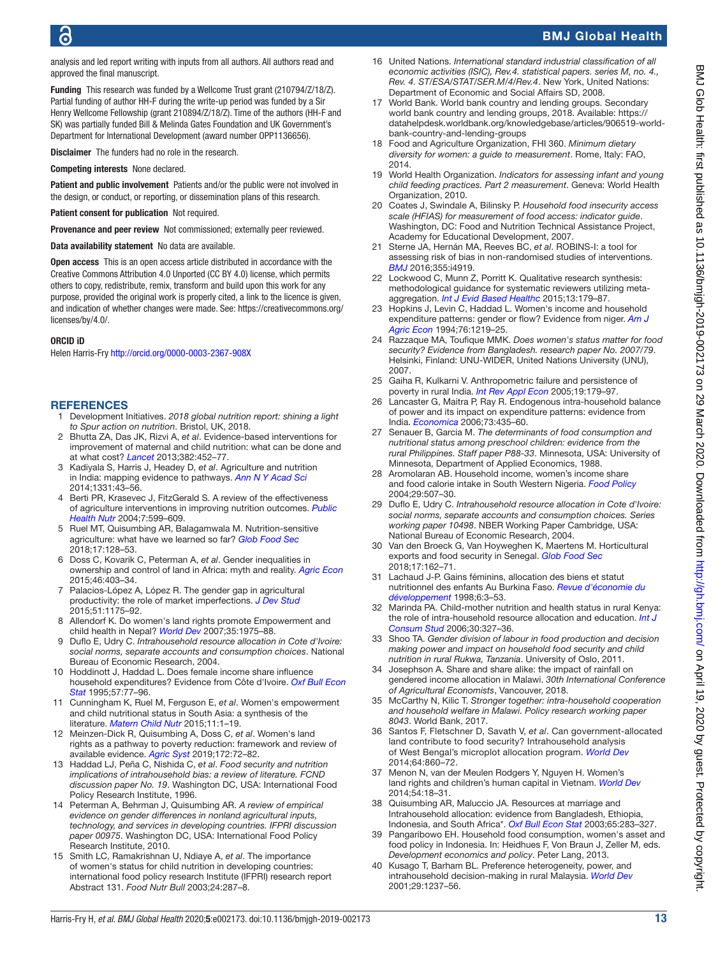analysis and led report writing with inputs from all authors. All authors read and approved the final manuscript.

Funding This research was funded by a Wellcome Trust grant (210794/Z/18/Z). Partial funding of author HH-F during the write-up period was funded by a Sir Henry Wellcome Fellowship (grant 210894/Z/18/Z). Time of the authors (HH-F and SK) was partially funded Bill & Melinda Gates Foundation and UK Government's Department for International Development (award number OPP1136656).

Disclaimer The funders had no role in the research.

Competing interests None declared.

Patient and public involvement Patients and/or the public were not involved in the design, or conduct, or reporting, or dissemination plans of this research.

Patient consent for publication Not required.

Provenance and peer review Not commissioned; externally peer reviewed.

Data availability statement No data are available.

Open access This is an open access article distributed in accordance with the Creative Commons Attribution 4.0 Unported (CC BY 4.0) license, which permits others to copy, redistribute, remix, transform and build upon this work for any purpose, provided the original work is properly cited, a link to the licence is given, and indication of whether changes were made. See: [https://creativecommons.org/](https://creativecommons.org/licenses/by/4.0/) [licenses/by/4.0/](https://creativecommons.org/licenses/by/4.0/).

#### ORCID iD

Helen Harris-Fry<http://orcid.org/0000-0003-2367-908X>

#### <span id="page-12-0"></span>**REFERENCES**

- 1 Development Initiatives. *2018 global nutrition report: shining a light to Spur action on nutrition*. Bristol, UK, 2018.
- <span id="page-12-1"></span>2 Bhutta ZA, Das JK, Rizvi A, *et al*. Evidence-based interventions for improvement of maternal and child nutrition: what can be done and at what cost? *[Lancet](http://dx.doi.org/10.1016/S0140-6736(13)60996-4)* 2013;382:452–77.
- <span id="page-12-2"></span>3 Kadiyala S, Harris J, Headey D, *et al*. Agriculture and nutrition in India: mapping evidence to pathways. *[Ann N Y Acad Sci](http://dx.doi.org/10.1111/nyas.12477)* 2014;1331:43–56.
- <span id="page-12-3"></span>4 Berti PR, Krasevec J, FitzGerald S. A review of the effectiveness of agriculture interventions in improving nutrition outcomes. *[Public](http://dx.doi.org/10.1079/PHN2003595)  [Health Nutr](http://dx.doi.org/10.1079/PHN2003595)* 2004;7:599–609.
- <span id="page-12-4"></span>5 Ruel MT, Quisumbing AR, Balagamwala M. Nutrition-sensitive agriculture: what have we learned so far? *[Glob Food Sec](http://dx.doi.org/10.1016/j.gfs.2018.01.002)* 2018;17:128–53.
- <span id="page-12-5"></span>6 Doss C, Kovarik C, Peterman A, *et al*. Gender inequalities in ownership and control of land in Africa: myth and reality. *[Agric Econ](http://dx.doi.org/10.1111/agec.12171)* 2015;46:403–34.
- <span id="page-12-6"></span>7 Palacios-López A, López R. The gender gap in agricultural productivity: the role of market imperfections. *[J Dev Stud](http://dx.doi.org/10.1080/00220388.2015.1028539)* 2015;51:1175–92.
- <span id="page-12-7"></span>8 Allendorf K. Do women's land rights promote Empowerment and child health in Nepal? *[World Dev](http://dx.doi.org/10.1016/j.worlddev.2006.12.005)* 2007;35:1975–88.
- 9 Duflo E, Udry C. *Intrahousehold resource allocation in Cote d'Ivoire: social norms, separate accounts and consumption choices*. National Bureau of Economic Research, 2004.
- <span id="page-12-20"></span>10 Hoddinott J, Haddad L. Does female income share influence household expenditures? Evidence from Côte d'Ivoire. *[Oxf Bull Econ](http://dx.doi.org/10.1111/j.1468-0084.1995.tb00028.x)  [Stat](http://dx.doi.org/10.1111/j.1468-0084.1995.tb00028.x)* 1995;57:77–96.
- <span id="page-12-8"></span>11 Cunningham K, Ruel M, Ferguson E, *et al*. Women's empowerment and child nutritional status in South Asia: a synthesis of the literature. *[Matern Child Nutr](http://dx.doi.org/10.1111/mcn.12125)* 2015;11:1–19.
- 12 Meinzen-Dick R, Quisumbing A, Doss C, *et al*. Women's land rights as a pathway to poverty reduction: framework and review of available evidence. *[Agric Syst](http://dx.doi.org/10.1016/j.agsy.2017.10.009)* 2019;172:72–82.
- <span id="page-12-9"></span>13 Haddad LJ, Peña C, Nishida C, *et al*. *Food security and nutrition implications of intrahousehold bias: a review of literature. FCND discussion paper No. 19*. Washington DC, USA: International Food Policy Research Institute, 1996.
- <span id="page-12-10"></span>14 Peterman A, Behrman J, Quisumbing AR. *A review of empirical evidence on gender differences in nonland agricultural inputs, technology, and services in developing countries. IFPRI discussion paper 00975*. Washington DC, USA: International Food Policy Research Institute, 2010.
- <span id="page-12-11"></span>15 Smith LC, Ramakrishnan U, Ndiaye A, *et al*. The importance of women's status for child nutrition in developing countries: international food policy research Institute (IFPRI) research report Abstract 131. *Food Nutr Bull* 2003;24:287–8.
- <span id="page-12-12"></span>16 United Nations. *International standard industrial classification of all economic activities (ISIC), Rev.4. statistical papers. series M, no. 4., Rev. 4. ST/ESA/STAT/SER.M/4/Rev.4*. New York, United Nations: Department of Economic and Social Affairs SD, 2008.
- <span id="page-12-13"></span>17 World Bank. World bank country and lending groups. Secondary world bank country and lending groups, 2018. Available: [https://](https://datahelpdesk.worldbank.org/knowledgebase/articles/906519-world-bank-country-and-lending-groups) [datahelpdesk.worldbank.org/knowledgebase/articles/906519-world](https://datahelpdesk.worldbank.org/knowledgebase/articles/906519-world-bank-country-and-lending-groups)[bank-country-and-lending-groups](https://datahelpdesk.worldbank.org/knowledgebase/articles/906519-world-bank-country-and-lending-groups)
- <span id="page-12-14"></span>18 Food and Agriculture Organization, FHI 360. *Minimum dietary diversity for women: a guide to measurement*. Rome, Italy: FAO, 2014.
- <span id="page-12-15"></span>19 World Health Organization. *Indicators for assessing infant and young child feeding practices. Part 2 measurement*. Geneva: World Health Organization, 2010.
- <span id="page-12-16"></span>20 Coates J, Swindale A, Bilinsky P. *Household food insecurity access scale (HFIAS) for measurement of food access: indicator guide*. Washington, DC: Food and Nutrition Technical Assistance Project, Academy for Educational Development, 2007.
- <span id="page-12-17"></span>21 Sterne JA, Hernán MA, Reeves BC, *et al*. ROBINS-I: a tool for assessing risk of bias in non-randomised studies of interventions. *[BMJ](http://dx.doi.org/10.1136/bmj.i4919)* 2016;355:i4919.
- <span id="page-12-18"></span>22 Lockwood C, Munn Z, Porritt K, Qualitative research synthesis: methodological guidance for systematic reviewers utilizing metaaggregation. *[Int J Evid Based Healthc](http://dx.doi.org/10.1097/XEB.0000000000000062)* 2015;13:179–87.
- <span id="page-12-19"></span>23 Hopkins J, Levin C, Haddad L. Women's income and household expenditure patterns: gender or flow? Evidence from niger. *[Am J](http://dx.doi.org/10.2307/1243421)  [Agric Econ](http://dx.doi.org/10.2307/1243421)* 1994;76:1219–25.
- <span id="page-12-23"></span>24 Razzaque MA, Toufique MMK. *Does women's status matter for food security? Evidence from Bangladesh. research paper No. 2007/79*. Helsinki, Finland: UNU-WIDER, United Nations University (UNU), 2007.
- <span id="page-12-30"></span>25 Gaiha R, Kulkarni V. Anthropometric failure and persistence of poverty in rural India. *[Int Rev Appl Econ](http://dx.doi.org/10.1080/02692170500031711)* 2005;19:179–97.
- <span id="page-12-22"></span>26 Lancaster G, Maitra P, Ray R. Endogenous intra‐household balance of power and its impact on expenditure patterns: evidence from India. *[Economica](http://dx.doi.org/10.1111/j.1468-0335.2006.00502.x)* 2006;73:435–60.
- <span id="page-12-21"></span>27 Senauer B, Garcia M. *The determinants of food consumption and nutritional status among preschool children: evidence from the rural Philippines. Staff paper P88-33*. Minnesota, USA: University of Minnesota, Department of Applied Economics, 1988.
- <span id="page-12-28"></span>28 Aromolaran AB. Household income, women's income share and food calorie intake in South Western Nigeria. *[Food Policy](http://dx.doi.org/10.1016/j.foodpol.2004.07.002)* 2004;29:507–30.
- <span id="page-12-26"></span>29 Duflo E, Udry C. *Intrahousehold resource allocation in Cote d'Ivoire: social norms, separate accounts and consumption choices. Series working paper 10498*. NBER Working Paper Cambridge, USA: National Bureau of Economic Research, 2004.
- <span id="page-12-29"></span>30 Van den Broeck G, Van Hoyweghen K, Maertens M. Horticultural exports and food security in Senegal. *[Glob Food Sec](http://dx.doi.org/10.1016/j.gfs.2017.12.002)* 2018;17:162–71.
- <span id="page-12-25"></span>31 Lachaud J-P. Gains féminins, allocation des biens et statut nutritionnel des enfants Au Burkina Faso. *[Revue d'économie du](http://dx.doi.org/10.3406/recod.1998.983)  [développement](http://dx.doi.org/10.3406/recod.1998.983)* 1998;6:3–53.
- <span id="page-12-31"></span>32 Marinda PA. Child-mother nutrition and health status in rural Kenya: the role of intra-household resource allocation and education. *[Int J](http://dx.doi.org/10.1111/j.1470-6431.2006.00518.x)  [Consum Stud](http://dx.doi.org/10.1111/j.1470-6431.2006.00518.x)* 2006;30:327–36.
- <span id="page-12-32"></span>33 Shoo TA. *Gender division of labour in food production and decision making power and impact on household food security and child nutrition in rural Rukwa, Tanzania*. University of Oslo, 2011.
- <span id="page-12-27"></span>34 Josephson A. Share and share alike: the impact of rainfall on gendered income allocation in Malawi. *30th International Conference of Agricultural Economists*, Vancouver, 2018.
- <span id="page-12-24"></span>35 McCarthy N, Kilic T. *Stronger together: intra-household cooperation and household welfare in Malawi. Policy research working paper 8043*. World Bank, 2017.
- <span id="page-12-33"></span>36 Santos F, Fletschner D, Savath V, *et al*. Can government-allocated land contribute to food security? Intrahousehold analysis of West Bengal's microplot allocation program. *[World Dev](http://dx.doi.org/10.1016/j.worlddev.2014.07.017)* 2014;64:860–72.
- <span id="page-12-37"></span>37 Menon N, van der Meulen Rodgers Y, Nguyen H. Women's land rights and children's human capital in Vietnam. *[World Dev](http://dx.doi.org/10.1016/j.worlddev.2013.07.005)* 2014;54:18–31.
- <span id="page-12-35"></span>38 Quisumbing AR, Maluccio JA. Resources at marriage and Intrahousehold allocation: evidence from Bangladesh, Ethiopia, Indonesia, and South Africa\*. *[Oxf Bull Econ Stat](http://dx.doi.org/10.1111/1468-0084.t01-1-00052)* 2003;65:283–327.
- <span id="page-12-34"></span>Pangaribowo EH. Household food consumption, women's asset and food policy in Indonesia. In: Heidhues F, Von Braun J, Zeller M, eds. *Development economics and policy*. Peter Lang, 2013.
- <span id="page-12-36"></span>40 Kusago T, Barham BL. Preference heterogeneity, power, and intrahousehold decision-making in rural Malaysia. *[World Dev](http://dx.doi.org/10.1016/S0305-750X(01)00031-6)* 2001;29:1237–56.